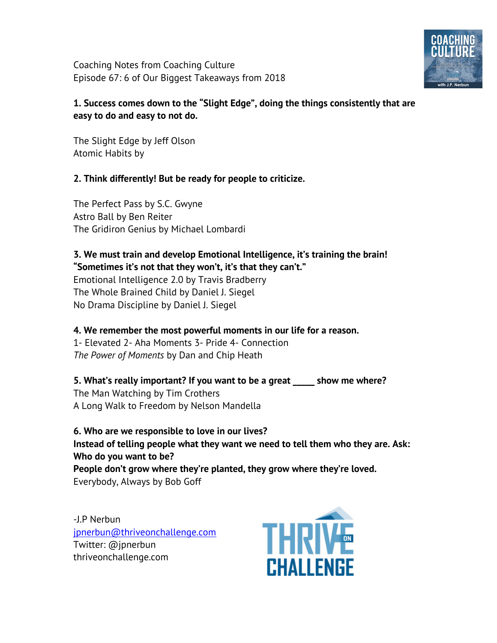Coaching Notes from Coaching Culture Episode 67: 6 of Our Biggest Takeaways from 2018



## **1. Success comes down to the "Slight Edge", doing the things consistently that are easy to do and easy to not do.**

The Slight Edge by Jeff Olson Atomic Habits by

## **2. Think differently! But be ready for people to criticize.**

The Perfect Pass by S.C. Gwyne Astro Ball by Ben Reiter The Gridiron Genius by Michael Lombardi

## **3. We must train and develop Emotional Intelligence, it's training the brain! "Sometimes it's not that they won't, it's that they can't."**

Emotional Intelligence 2.0 by Travis Bradberry The Whole Brained Child by Daniel J. Siegel No Drama Discipline by Daniel J. Siegel

## **4. We remember the most powerful moments in our life for a reason.**

1- Elevated 2- Aha Moments 3- Pride 4- Connection *The Power of Moments* by Dan and Chip Heath

**5. What's really important? If you want to be a great \_\_\_\_\_ show me where?**  The Man Watching by Tim Crothers A Long Walk to Freedom by Nelson Mandella

**6. Who are we responsible to love in our lives? Instead of telling people what they want we need to tell them who they are. Ask: Who do you want to be? People don't grow where they're planted, they grow where they're loved.**  Everybody, Always by Bob Goff

-J.P Nerbun jpnerbun@thriveonchallenge.com Twitter: @jpnerbun thriveonchallenge.com